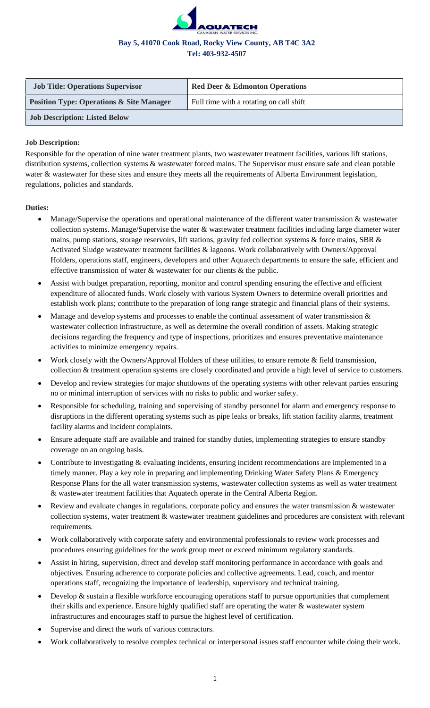

| <b>Job Title: Operations Supervisor</b>             | <b>Red Deer &amp; Edmonton Operations</b> |
|-----------------------------------------------------|-------------------------------------------|
| <b>Position Type: Operations &amp; Site Manager</b> | Full time with a rotating on call shift   |
| <b>Job Description: Listed Below</b>                |                                           |

## **Job Description:**

Responsible for the operation of nine water treatment plants, two wastewater treatment facilities, various lift stations, distribution systems, collection systems & wastewater forced mains. The Supervisor must ensure safe and clean potable water & wastewater for these sites and ensure they meets all the requirements of Alberta Environment legislation, regulations, policies and standards.

# **Duties:**

- Manage/Supervise the operations and operational maintenance of the different water transmission & wastewater collection systems. Manage/Supervise the water & wastewater treatment facilities including large diameter water mains, pump stations, storage reservoirs, lift stations, gravity fed collection systems & force mains, SBR & Activated Sludge wastewater treatment facilities & lagoons. Work collaboratively with Owners/Approval Holders, operations staff, engineers, developers and other Aquatech departments to ensure the safe, efficient and effective transmission of water  $\&$  wastewater for our clients  $\&$  the public.
- Assist with budget preparation, reporting, monitor and control spending ensuring the effective and efficient expenditure of allocated funds. Work closely with various System Owners to determine overall priorities and establish work plans; contribute to the preparation of long range strategic and financial plans of their systems.
- Manage and develop systems and processes to enable the continual assessment of water transmission  $\&$ wastewater collection infrastructure, as well as determine the overall condition of assets. Making strategic decisions regarding the frequency and type of inspections, prioritizes and ensures preventative maintenance activities to minimize emergency repairs.
- Work closely with the Owners/Approval Holders of these utilities, to ensure remote & field transmission, collection & treatment operation systems are closely coordinated and provide a high level of service to customers.
- Develop and review strategies for major shutdowns of the operating systems with other relevant parties ensuring no or minimal interruption of services with no risks to public and worker safety.
- Responsible for scheduling, training and supervising of standby personnel for alarm and emergency response to disruptions in the different operating systems such as pipe leaks or breaks, lift station facility alarms, treatment facility alarms and incident complaints.
- Ensure adequate staff are available and trained for standby duties, implementing strategies to ensure standby coverage on an ongoing basis.
- Contribute to investigating  $\&$  evaluating incidents, ensuring incident recommendations are implemented in a timely manner. Play a key role in preparing and implementing Drinking Water Safety Plans & Emergency Response Plans for the all water transmission systems, wastewater collection systems as well as water treatment & wastewater treatment facilities that Aquatech operate in the Central Alberta Region.
- Review and evaluate changes in regulations, corporate policy and ensures the water transmission & wastewater collection systems, water treatment & wastewater treatment guidelines and procedures are consistent with relevant requirements.
- Work collaboratively with corporate safety and environmental professionals to review work processes and procedures ensuring guidelines for the work group meet or exceed minimum regulatory standards.
- Assist in hiring, supervision, direct and develop staff monitoring performance in accordance with goals and objectives. Ensuring adherence to corporate policies and collective agreements. Lead, coach, and mentor operations staff, recognizing the importance of leadership, supervisory and technical training.
- Develop & sustain a flexible workforce encouraging operations staff to pursue opportunities that complement their skills and experience. Ensure highly qualified staff are operating the water & wastewater system infrastructures and encourages staff to pursue the highest level of certification.
- Supervise and direct the work of various contractors.
- Work collaboratively to resolve complex technical or interpersonal issues staff encounter while doing their work.